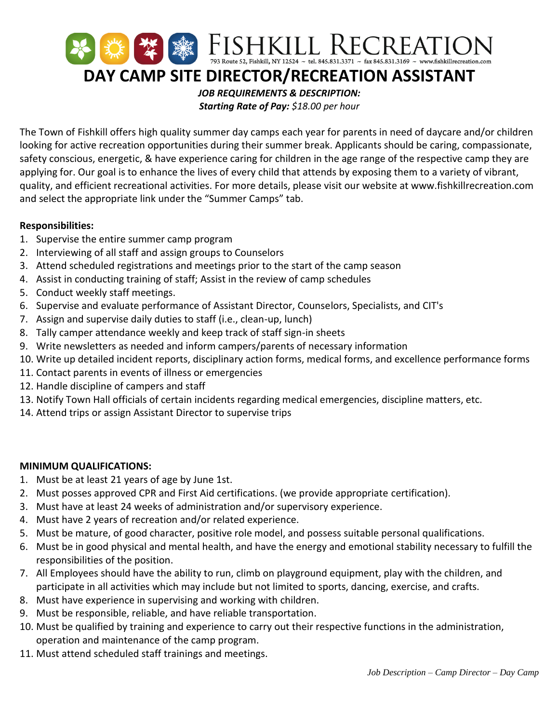

The Town of Fishkill offers high quality summer day camps each year for parents in need of daycare and/or children looking for active recreation opportunities during their summer break. Applicants should be caring, compassionate, safety conscious, energetic, & have experience caring for children in the age range of the respective camp they are applying for. Our goal is to enhance the lives of every child that attends by exposing them to a variety of vibrant, quality, and efficient recreational activities. For more details, please visit our website at www.fishkillrecreation.com and select the appropriate link under the "Summer Camps" tab.

## **Responsibilities:**

- 1. Supervise the entire summer camp program
- 2. Interviewing of all staff and assign groups to Counselors
- 3. Attend scheduled registrations and meetings prior to the start of the camp season
- 4. Assist in conducting training of staff; Assist in the review of camp schedules
- 5. Conduct weekly staff meetings.
- 6. Supervise and evaluate performance of Assistant Director, Counselors, Specialists, and CIT's
- 7. Assign and supervise daily duties to staff (i.e., clean-up, lunch)
- 8. Tally camper attendance weekly and keep track of staff sign-in sheets
- 9. Write newsletters as needed and inform campers/parents of necessary information
- 10. Write up detailed incident reports, disciplinary action forms, medical forms, and excellence performance forms
- 11. Contact parents in events of illness or emergencies
- 12. Handle discipline of campers and staff
- 13. Notify Town Hall officials of certain incidents regarding medical emergencies, discipline matters, etc.
- 14. Attend trips or assign Assistant Director to supervise trips

## **MINIMUM QUALIFICATIONS:**

- 1. Must be at least 21 years of age by June 1st.
- 2. Must posses approved CPR and First Aid certifications. (we provide appropriate certification).
- 3. Must have at least 24 weeks of administration and/or supervisory experience.
- 4. Must have 2 years of recreation and/or related experience.
- 5. Must be mature, of good character, positive role model, and possess suitable personal qualifications.
- 6. Must be in good physical and mental health, and have the energy and emotional stability necessary to fulfill the responsibilities of the position.
- 7. All Employees should have the ability to run, climb on playground equipment, play with the children, and participate in all activities which may include but not limited to sports, dancing, exercise, and crafts.
- 8. Must have experience in supervising and working with children.
- 9. Must be responsible, reliable, and have reliable transportation.
- 10. Must be qualified by training and experience to carry out their respective functions in the administration, operation and maintenance of the camp program.
- 11. Must attend scheduled staff trainings and meetings.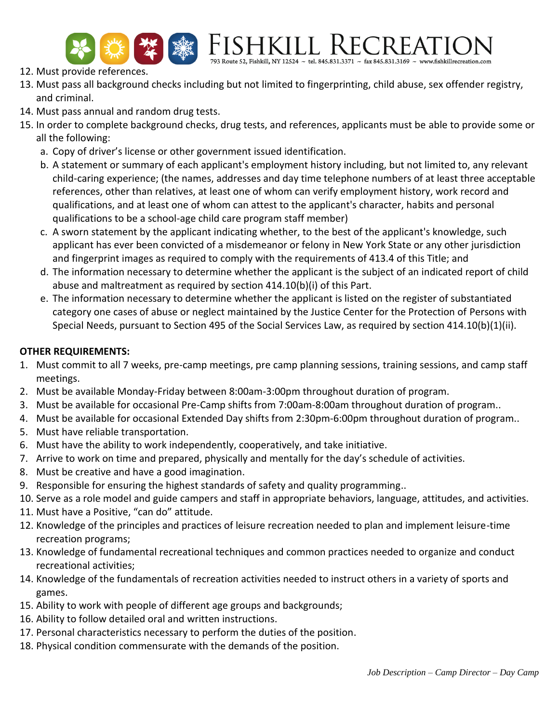

FISHKILL RECREATIO

- 12. Must provide references.
- 13. Must pass all background checks including but not limited to fingerprinting, child abuse, sex offender registry, and criminal.
- 14. Must pass annual and random drug tests.
- 15. In order to complete background checks, drug tests, and references, applicants must be able to provide some or all the following:
	- a. Copy of driver's license or other government issued identification.
	- b. A statement or summary of each applicant's employment history including, but not limited to, any relevant child-caring experience; (the names, addresses and day time telephone numbers of at least three acceptable references, other than relatives, at least one of whom can verify employment history, work record and qualifications, and at least one of whom can attest to the applicant's character, habits and personal qualifications to be a school-age child care program staff member)
	- c. A sworn statement by the applicant indicating whether, to the best of the applicant's knowledge, such applicant has ever been convicted of a misdemeanor or felony in New York State or any other jurisdiction and fingerprint images as required to comply with the requirements of 413.4 of this Title; and
	- d. The information necessary to determine whether the applicant is the subject of an indicated report of child abuse and maltreatment as required by section 414.10(b)(i) of this Part.
	- e. The information necessary to determine whether the applicant is listed on the register of substantiated category one cases of abuse or neglect maintained by the Justice Center for the Protection of Persons with Special Needs, pursuant to Section 495 of the Social Services Law, as required by section 414.10(b)(1)(ii).

## **OTHER REQUIREMENTS:**

- 1. Must commit to all 7 weeks, pre-camp meetings, pre camp planning sessions, training sessions, and camp staff meetings.
- 2. Must be available Monday-Friday between 8:00am-3:00pm throughout duration of program.
- 3. Must be available for occasional Pre-Camp shifts from 7:00am-8:00am throughout duration of program..
- 4. Must be available for occasional Extended Day shifts from 2:30pm-6:00pm throughout duration of program..
- 5. Must have reliable transportation.
- 6. Must have the ability to work independently, cooperatively, and take initiative.
- 7. Arrive to work on time and prepared, physically and mentally for the day's schedule of activities.
- 8. Must be creative and have a good imagination.
- 9. Responsible for ensuring the highest standards of safety and quality programming..
- 10. Serve as a role model and guide campers and staff in appropriate behaviors, language, attitudes, and activities.
- 11. Must have a Positive, "can do" attitude.
- 12. Knowledge of the principles and practices of leisure recreation needed to plan and implement leisure-time recreation programs;
- 13. Knowledge of fundamental recreational techniques and common practices needed to organize and conduct recreational activities;
- 14. Knowledge of the fundamentals of recreation activities needed to instruct others in a variety of sports and games.
- 15. Ability to work with people of different age groups and backgrounds;
- 16. Ability to follow detailed oral and written instructions.
- 17. Personal characteristics necessary to perform the duties of the position.
- 18. Physical condition commensurate with the demands of the position.